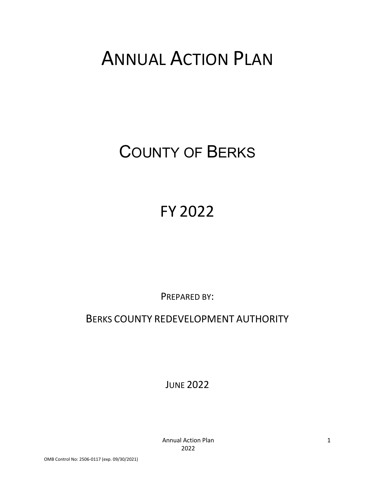# ANNUAL ACTION PLAN

# COUNTY OF BERKS

# FY 2022

PREPARED BY:

# BERKS COUNTY REDEVELOPMENT AUTHORITY

JUNE 2022

Annual Action Plan 2022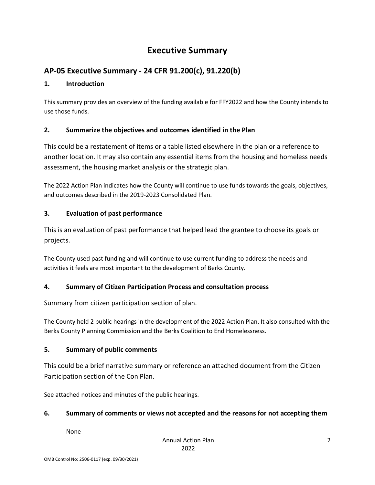# **Executive Summary**

## **AP-05 Executive Summary - 24 CFR 91.200(c), 91.220(b)**

## **1. Introduction**

This summary provides an overview of the funding available for FFY2022 and how the County intends to use those funds.

## **2. Summarize the objectives and outcomes identified in the Plan**

This could be a restatement of items or a table listed elsewhere in the plan or a reference to another location. It may also contain any essential items from the housing and homeless needs assessment, the housing market analysis or the strategic plan.

The 2022 Action Plan indicates how the County will continue to use funds towards the goals, objectives, and outcomes described in the 2019-2023 Consolidated Plan.

## **3. Evaluation of past performance**

This is an evaluation of past performance that helped lead the grantee to choose its goals or projects.

The County used past funding and will continue to use current funding to address the needs and activities it feels are most important to the development of Berks County.

## **4. Summary of Citizen Participation Process and consultation process**

Summary from citizen participation section of plan.

The County held 2 public hearings in the development of the 2022 Action Plan. It also consulted with the Berks County Planning Commission and the Berks Coalition to End Homelessness.

## **5. Summary of public comments**

This could be a brief narrative summary or reference an attached document from the Citizen Participation section of the Con Plan.

See attached notices and minutes of the public hearings.

## **6. Summary of comments or views not accepted and the reasons for not accepting them**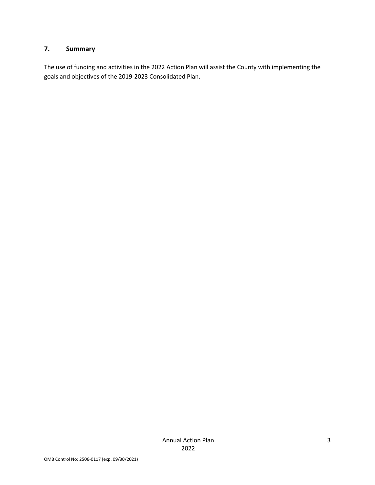## **7. Summary**

The use of funding and activities in the 2022 Action Plan will assist the County with implementing the goals and objectives of the 2019-2023 Consolidated Plan.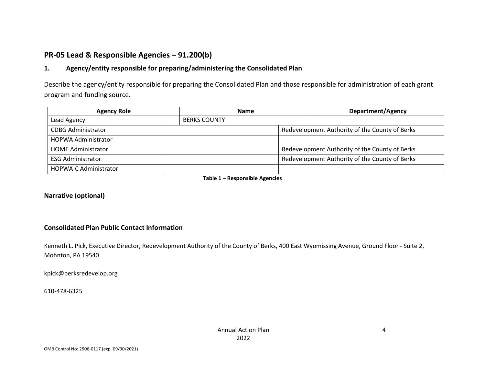## **PR-05 Lead & Responsible Agencies – 91.200(b)**

## **1. Agency/entity responsible for preparing/administering the Consolidated Plan**

Describe the agency/entity responsible for preparing the Consolidated Plan and those responsible for administration of each grant program and funding source.

| <b>Agency Role</b>           |                     | <b>Name</b> |  | <b>Department/Agency</b>                       |
|------------------------------|---------------------|-------------|--|------------------------------------------------|
| Lead Agency                  | <b>BERKS COUNTY</b> |             |  |                                                |
| <b>CDBG Administrator</b>    |                     |             |  | Redevelopment Authority of the County of Berks |
| <b>HOPWA Administrator</b>   |                     |             |  |                                                |
| <b>HOME Administrator</b>    |                     |             |  | Redevelopment Authority of the County of Berks |
| <b>ESG Administrator</b>     |                     |             |  | Redevelopment Authority of the County of Berks |
| <b>HOPWA-C Administrator</b> |                     |             |  |                                                |

**Table 1 – Responsible Agencies**

#### **Narrative (optional)**

#### **Consolidated Plan Public Contact Information**

Kenneth L. Pick, Executive Director, Redevelopment Authority of the County of Berks, 400 East Wyomissing Avenue, Ground Floor - Suite 2, Mohnton, PA 19540

kpick@berksredevelop.org

610-478-6325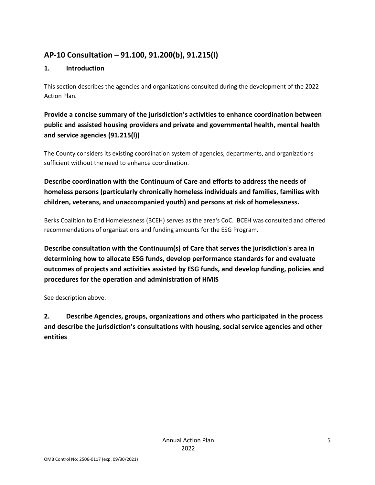## **AP-10 Consultation – 91.100, 91.200(b), 91.215(l)**

## **1. Introduction**

This section describes the agencies and organizations consulted during the development of the 2022 Action Plan.

**Provide a concise summary of the jurisdiction's activities to enhance coordination between public and assisted housing providers and private and governmental health, mental health and service agencies (91.215(l))**

The County considers its existing coordination system of agencies, departments, and organizations sufficient without the need to enhance coordination.

## **Describe coordination with the Continuum of Care and efforts to address the needs of homeless persons (particularly chronically homeless individuals and families, families with children, veterans, and unaccompanied youth) and persons at risk of homelessness.**

Berks Coalition to End Homelessness (BCEH) serves as the area's CoC. BCEH was consulted and offered recommendations of organizations and funding amounts for the ESG Program.

**Describe consultation with the Continuum(s) of Care that serves the jurisdiction's area in determining how to allocate ESG funds, develop performance standards for and evaluate outcomes of projects and activities assisted by ESG funds, and develop funding, policies and procedures for the operation and administration of HMIS**

See description above.

**2. Describe Agencies, groups, organizations and others who participated in the process and describe the jurisdiction's consultations with housing, social service agencies and other entities**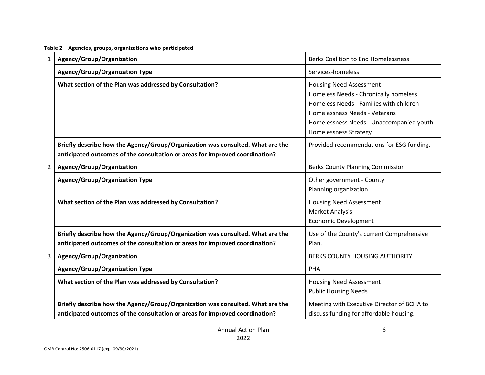|  |  | Table 2 – Agencies, groups, organizations who participated |
|--|--|------------------------------------------------------------|
|--|--|------------------------------------------------------------|

| 1              | Agency/Group/Organization                                                                                                                                      | <b>Berks Coalition to End Homelessness</b>                                                                                                                                                                                      |
|----------------|----------------------------------------------------------------------------------------------------------------------------------------------------------------|---------------------------------------------------------------------------------------------------------------------------------------------------------------------------------------------------------------------------------|
|                | <b>Agency/Group/Organization Type</b>                                                                                                                          | Services-homeless                                                                                                                                                                                                               |
|                | What section of the Plan was addressed by Consultation?                                                                                                        | <b>Housing Need Assessment</b><br>Homeless Needs - Chronically homeless<br>Homeless Needs - Families with children<br>Homelessness Needs - Veterans<br>Homelessness Needs - Unaccompanied youth<br><b>Homelessness Strategy</b> |
|                | Briefly describe how the Agency/Group/Organization was consulted. What are the<br>anticipated outcomes of the consultation or areas for improved coordination? | Provided recommendations for ESG funding.                                                                                                                                                                                       |
| $\overline{2}$ | Agency/Group/Organization                                                                                                                                      | <b>Berks County Planning Commission</b>                                                                                                                                                                                         |
|                | <b>Agency/Group/Organization Type</b>                                                                                                                          | Other government - County<br>Planning organization                                                                                                                                                                              |
|                | What section of the Plan was addressed by Consultation?                                                                                                        | <b>Housing Need Assessment</b><br>Market Analysis<br><b>Economic Development</b>                                                                                                                                                |
|                | Briefly describe how the Agency/Group/Organization was consulted. What are the<br>anticipated outcomes of the consultation or areas for improved coordination? | Use of the County's current Comprehensive<br>Plan.                                                                                                                                                                              |
| 3              | Agency/Group/Organization                                                                                                                                      | BERKS COUNTY HOUSING AUTHORITY                                                                                                                                                                                                  |
|                | <b>Agency/Group/Organization Type</b>                                                                                                                          | PHA                                                                                                                                                                                                                             |
|                | What section of the Plan was addressed by Consultation?                                                                                                        | <b>Housing Need Assessment</b><br><b>Public Housing Needs</b>                                                                                                                                                                   |
|                | Briefly describe how the Agency/Group/Organization was consulted. What are the<br>anticipated outcomes of the consultation or areas for improved coordination? | Meeting with Executive Director of BCHA to<br>discuss funding for affordable housing.                                                                                                                                           |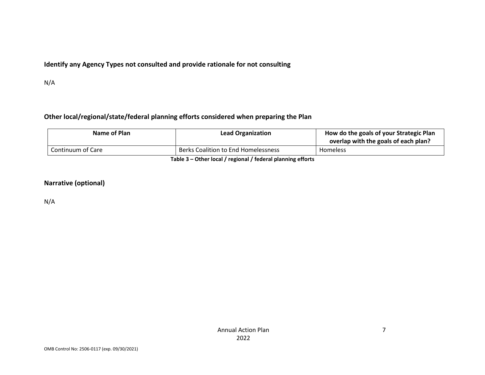## **Identify any Agency Types not consulted and provide rationale for not consulting**

N/A

## **Other local/regional/state/federal planning efforts considered when preparing the Plan**

| Name of Plan                                             | <b>Lead Organization</b>            | How do the goals of your Strategic Plan<br>overlap with the goals of each plan? |  |  |
|----------------------------------------------------------|-------------------------------------|---------------------------------------------------------------------------------|--|--|
| Continuum of Care                                        | Berks Coalition to End Homelessness | Homeless                                                                        |  |  |
| Table 2. Other lead Luccional Lindoval planning offering |                                     |                                                                                 |  |  |

**Table 3 – Other local / regional / federal planning efforts**

#### **Narrative (optional)**

N/A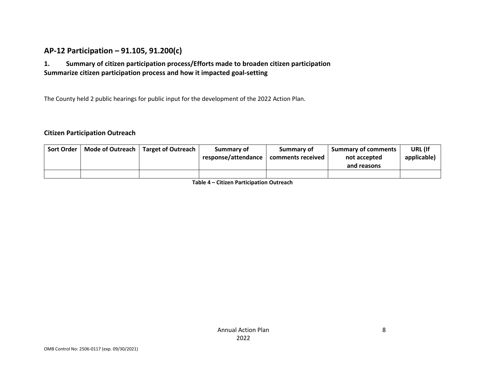## **AP-12 Participation – 91.105, 91.200(c)**

## **1. Summary of citizen participation process/Efforts made to broaden citizen participation Summarize citizen participation process and how it impacted goal-setting**

The County held 2 public hearings for public input for the development of the 2022 Action Plan.

#### **Citizen Participation Outreach**

| <b>Sort Order</b> | Mode of Outreach   Target of Outreach | Summary of          | Summary of        | <b>Summary of comments</b> | URL (If     |
|-------------------|---------------------------------------|---------------------|-------------------|----------------------------|-------------|
|                   |                                       | response/attendance | comments received | not accepted               | applicable) |
|                   |                                       |                     |                   | and reasons                |             |
|                   |                                       |                     |                   |                            |             |

**Table 4 – Citizen Participation Outreach**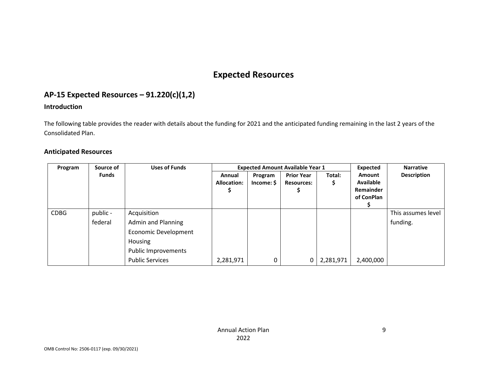# **Expected Resources**

## **AP-15 Expected Resources – 91.220(c)(1,2)**

## **Introduction**

The following table provides the reader with details about the funding for 2021 and the anticipated funding remaining in the last 2 years of the Consolidated Plan.

#### **Anticipated Resources**

| Program     | Source of | <b>Uses of Funds</b>        |                    | <b>Expected Amount Available Year 1</b> |                   |           |                  | <b>Narrative</b>   |
|-------------|-----------|-----------------------------|--------------------|-----------------------------------------|-------------------|-----------|------------------|--------------------|
|             | Funds     |                             | Annual             | Program                                 | <b>Prior Year</b> | Total:    | <b>Amount</b>    | <b>Description</b> |
|             |           |                             | <b>Allocation:</b> | Income: \$                              | <b>Resources:</b> | Ş         | <b>Available</b> |                    |
|             |           |                             | S.                 |                                         |                   |           | Remainder        |                    |
|             |           |                             |                    |                                         |                   |           | of ConPlan       |                    |
| <b>CDBG</b> | public -  | Acquisition                 |                    |                                         |                   |           |                  | This assumes level |
|             |           |                             |                    |                                         |                   |           |                  |                    |
|             | federal   | Admin and Planning          |                    |                                         |                   |           |                  | funding.           |
|             |           | <b>Economic Development</b> |                    |                                         |                   |           |                  |                    |
|             |           | Housing                     |                    |                                         |                   |           |                  |                    |
|             |           | <b>Public Improvements</b>  |                    |                                         |                   |           |                  |                    |
|             |           | <b>Public Services</b>      | 2,281,971          | 0                                       | 0                 | 2,281,971 | 2,400,000        |                    |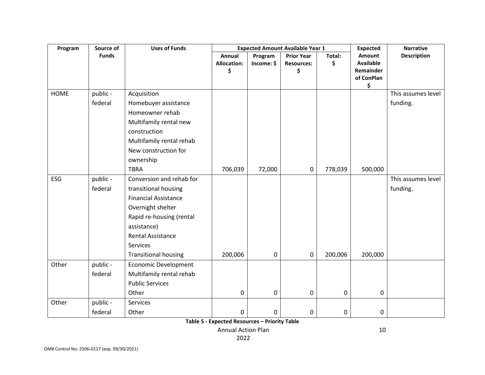| Program     | Source of    | <b>Uses of Funds</b>        | <b>Expected Amount Available Year 1</b> |            |                   |         | <b>Expected</b>               | <b>Narrative</b>   |
|-------------|--------------|-----------------------------|-----------------------------------------|------------|-------------------|---------|-------------------------------|--------------------|
|             | <b>Funds</b> |                             | Annual                                  | Program    | <b>Prior Year</b> | Total:  | Amount                        | <b>Description</b> |
|             |              |                             | <b>Allocation:</b>                      | Income: \$ | <b>Resources:</b> | \$      | <b>Available</b><br>Remainder |                    |
|             |              |                             | \$                                      |            | \$                |         | of ConPlan                    |                    |
|             |              |                             |                                         |            |                   |         | \$                            |                    |
| <b>HOME</b> | public -     | Acquisition                 |                                         |            |                   |         |                               | This assumes level |
|             | federal      | Homebuyer assistance        |                                         |            |                   |         |                               | funding.           |
|             |              | Homeowner rehab             |                                         |            |                   |         |                               |                    |
|             |              | Multifamily rental new      |                                         |            |                   |         |                               |                    |
|             |              | construction                |                                         |            |                   |         |                               |                    |
|             |              | Multifamily rental rehab    |                                         |            |                   |         |                               |                    |
|             |              | New construction for        |                                         |            |                   |         |                               |                    |
|             |              | ownership                   |                                         |            |                   |         |                               |                    |
|             |              | <b>TBRA</b>                 | 706,039                                 | 72,000     | $\pmb{0}$         | 778,039 | 500,000                       |                    |
| ESG         | public -     | Conversion and rehab for    |                                         |            |                   |         |                               | This assumes level |
|             | federal      | transitional housing        |                                         |            |                   |         |                               | funding.           |
|             |              | <b>Financial Assistance</b> |                                         |            |                   |         |                               |                    |
|             |              | Overnight shelter           |                                         |            |                   |         |                               |                    |
|             |              | Rapid re-housing (rental    |                                         |            |                   |         |                               |                    |
|             |              | assistance)                 |                                         |            |                   |         |                               |                    |
|             |              | <b>Rental Assistance</b>    |                                         |            |                   |         |                               |                    |
|             |              | Services                    |                                         |            |                   |         |                               |                    |
|             |              | <b>Transitional housing</b> | 200,006                                 | 0          | 0                 | 200,006 | 200,000                       |                    |
| Other       | public -     | <b>Economic Development</b> |                                         |            |                   |         |                               |                    |
|             | federal      | Multifamily rental rehab    |                                         |            |                   |         |                               |                    |
|             |              | <b>Public Services</b>      |                                         |            |                   |         |                               |                    |
|             |              | Other                       | 0                                       | 0          | 0                 | 0       | 0                             |                    |
| Other       | public -     | Services                    |                                         |            |                   |         |                               |                    |
|             | federal      | Other                       | 0                                       | 0          | 0                 | 0       | 0                             |                    |

**Table 5 - Expected Resources – Priority Table**

Annual Action Plan 2022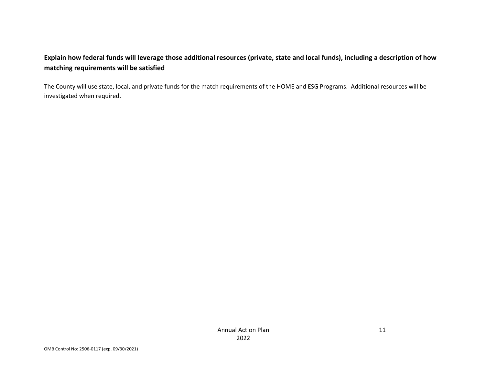## **Explain how federal funds will leverage those additional resources (private, state and local funds), including a description of how matching requirements will be satisfied**

The County will use state, local, and private funds for the match requirements of the HOME and ESG Programs. Additional resources will be investigated when required.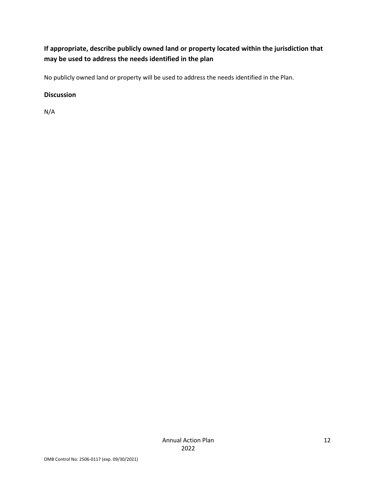## **If appropriate, describe publicly owned land or property located within the jurisdiction that may be used to address the needs identified in the plan**

No publicly owned land or property will be used to address the needs identified in the Plan.

### **Discussion**

N/A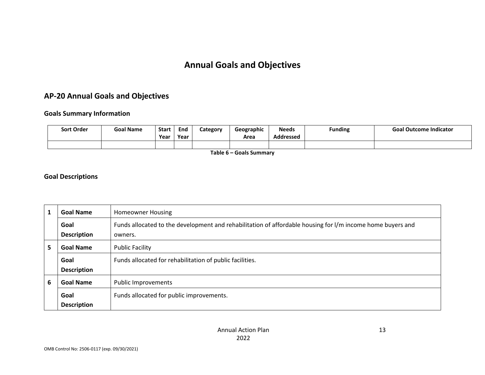# **Annual Goals and Objectives**

## **AP-20 Annual Goals and Objectives**

#### **Goals Summary Information**

| <b>Sort Order</b> | <b>Goal Name</b> | <b>Start</b><br>Year | End<br>Year | Category | Geographic<br>Area | <b>Needs</b><br><b>Addressed</b> | <b>Funding</b> | <b>Goal Outcome Indicator</b> |
|-------------------|------------------|----------------------|-------------|----------|--------------------|----------------------------------|----------------|-------------------------------|
|                   |                  |                      |             |          |                    |                                  |                |                               |

**Table 6 – Goals Summary**

#### **Goal Descriptions**

|   | <b>Goal Name</b>           | <b>Homeowner Housing</b>                                                                                              |
|---|----------------------------|-----------------------------------------------------------------------------------------------------------------------|
|   | Goal<br><b>Description</b> | Funds allocated to the development and rehabilitation of affordable housing for I/m income home buyers and<br>owners. |
| 5 | <b>Goal Name</b>           | <b>Public Facility</b>                                                                                                |
|   | Goal<br><b>Description</b> | Funds allocated for rehabilitation of public facilities.                                                              |
| 6 | <b>Goal Name</b>           | <b>Public Improvements</b>                                                                                            |
|   | Goal<br><b>Description</b> | Funds allocated for public improvements.                                                                              |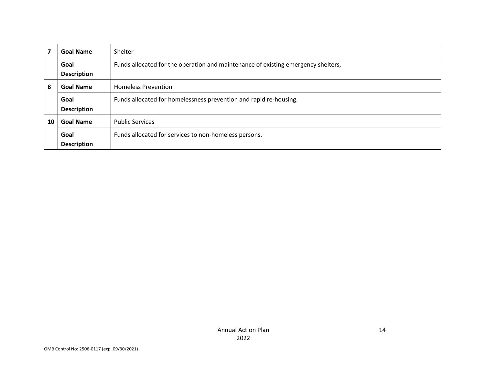|    | <b>Goal Name</b>                               | Shelter                                                                           |
|----|------------------------------------------------|-----------------------------------------------------------------------------------|
|    | Goal                                           | Funds allocated for the operation and maintenance of existing emergency shelters, |
|    | <b>Description</b>                             |                                                                                   |
| 8  | <b>Goal Name</b><br><b>Homeless Prevention</b> |                                                                                   |
|    | Goal                                           | Funds allocated for homelessness prevention and rapid re-housing.                 |
|    | <b>Description</b>                             |                                                                                   |
| 10 | <b>Goal Name</b>                               | <b>Public Services</b>                                                            |
|    | Goal                                           | Funds allocated for services to non-homeless persons.                             |
|    | <b>Description</b>                             |                                                                                   |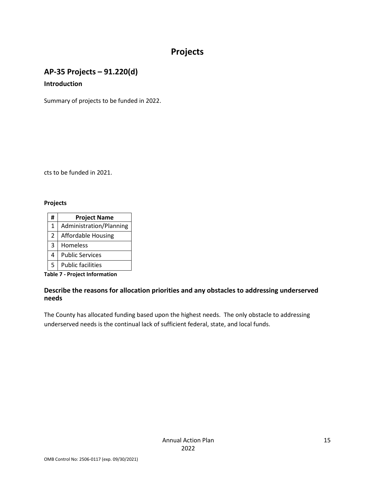# **Projects**

## **AP-35 Projects – 91.220(d) Introduction**

Summary of projects to be funded in 2022.

cts to be funded in 2021.

#### **Projects**

| # | <b>Project Name</b>       |
|---|---------------------------|
| 1 | Administration/Planning   |
| 2 | <b>Affordable Housing</b> |
| 3 | Homeless                  |
| 4 | <b>Public Services</b>    |
| 5 | <b>Public facilities</b>  |

**Table 7 - Project Information**

#### **Describe the reasons for allocation priorities and any obstacles to addressing underserved needs**

The County has allocated funding based upon the highest needs. The only obstacle to addressing underserved needs is the continual lack of sufficient federal, state, and local funds.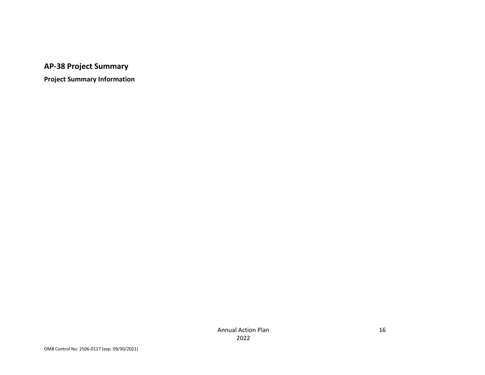**AP-38 Project Summary**

**Project Summary Information**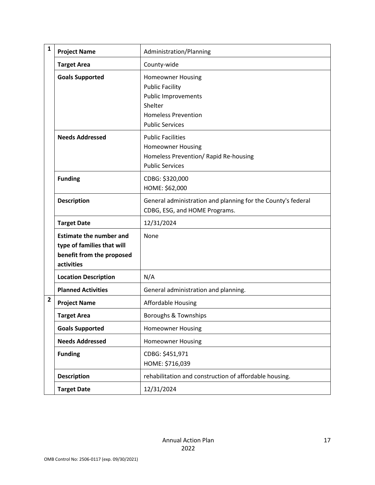| $\mathbf{1}$ | <b>Project Name</b>                                                                                     | Administration/Planning                                                                                                                             |
|--------------|---------------------------------------------------------------------------------------------------------|-----------------------------------------------------------------------------------------------------------------------------------------------------|
|              | <b>Target Area</b>                                                                                      | County-wide                                                                                                                                         |
|              | <b>Goals Supported</b>                                                                                  | <b>Homeowner Housing</b><br><b>Public Facility</b><br><b>Public Improvements</b><br>Shelter<br><b>Homeless Prevention</b><br><b>Public Services</b> |
|              | <b>Needs Addressed</b>                                                                                  | <b>Public Facilities</b><br><b>Homeowner Housing</b><br>Homeless Prevention/ Rapid Re-housing<br><b>Public Services</b>                             |
|              | <b>Funding</b>                                                                                          | CDBG: \$320,000<br>HOME: \$62,000                                                                                                                   |
|              | <b>Description</b>                                                                                      | General administration and planning for the County's federal<br>CDBG, ESG, and HOME Programs.                                                       |
|              | <b>Target Date</b>                                                                                      | 12/31/2024                                                                                                                                          |
|              | <b>Estimate the number and</b><br>type of families that will<br>benefit from the proposed<br>activities | None                                                                                                                                                |
|              | <b>Location Description</b>                                                                             | N/A                                                                                                                                                 |
|              | <b>Planned Activities</b>                                                                               | General administration and planning.                                                                                                                |
| 2            | <b>Project Name</b>                                                                                     | <b>Affordable Housing</b>                                                                                                                           |
|              | <b>Target Area</b>                                                                                      | Boroughs & Townships                                                                                                                                |
|              | <b>Goals Supported</b>                                                                                  | <b>Homeowner Housing</b>                                                                                                                            |
|              | <b>Needs Addressed</b>                                                                                  | <b>Homeowner Housing</b>                                                                                                                            |
|              | <b>Funding</b>                                                                                          | CDBG: \$451,971<br>HOME: \$716,039                                                                                                                  |
|              | <b>Description</b>                                                                                      | rehabilitation and construction of affordable housing.                                                                                              |
|              | <b>Target Date</b>                                                                                      | 12/31/2024                                                                                                                                          |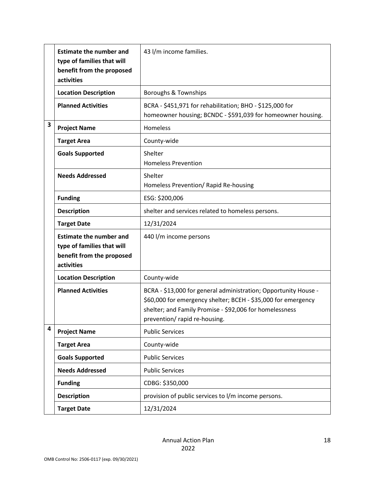|   | <b>Estimate the number and</b><br>type of families that will<br>benefit from the proposed<br>activities | 43 I/m income families.                                                                                                                                                                                                      |
|---|---------------------------------------------------------------------------------------------------------|------------------------------------------------------------------------------------------------------------------------------------------------------------------------------------------------------------------------------|
|   | <b>Location Description</b>                                                                             | Boroughs & Townships                                                                                                                                                                                                         |
|   | <b>Planned Activities</b>                                                                               | BCRA - \$451,971 for rehabilitation; BHO - \$125,000 for<br>homeowner housing; BCNDC - \$591,039 for homeowner housing.                                                                                                      |
| 3 | <b>Project Name</b>                                                                                     | Homeless                                                                                                                                                                                                                     |
|   | <b>Target Area</b>                                                                                      | County-wide                                                                                                                                                                                                                  |
|   | <b>Goals Supported</b>                                                                                  | Shelter<br><b>Homeless Prevention</b>                                                                                                                                                                                        |
|   | <b>Needs Addressed</b>                                                                                  | Shelter<br>Homeless Prevention/ Rapid Re-housing                                                                                                                                                                             |
|   | <b>Funding</b>                                                                                          | ESG: \$200,006                                                                                                                                                                                                               |
|   | <b>Description</b>                                                                                      | shelter and services related to homeless persons.                                                                                                                                                                            |
|   | <b>Target Date</b>                                                                                      | 12/31/2024                                                                                                                                                                                                                   |
|   | <b>Estimate the number and</b><br>type of families that will<br>benefit from the proposed<br>activities | 440 l/m income persons                                                                                                                                                                                                       |
|   | <b>Location Description</b>                                                                             | County-wide                                                                                                                                                                                                                  |
|   | <b>Planned Activities</b>                                                                               | BCRA - \$13,000 for general administration; Opportunity House -<br>\$60,000 for emergency shelter; BCEH - \$35,000 for emergency<br>shelter; and Family Promise - \$92,006 for homelessness<br>prevention/ rapid re-housing. |
| 4 | <b>Project Name</b>                                                                                     | <b>Public Services</b>                                                                                                                                                                                                       |
|   | <b>Target Area</b>                                                                                      | County-wide                                                                                                                                                                                                                  |
|   | <b>Goals Supported</b>                                                                                  | <b>Public Services</b>                                                                                                                                                                                                       |
|   | <b>Needs Addressed</b>                                                                                  | <b>Public Services</b>                                                                                                                                                                                                       |
|   | <b>Funding</b>                                                                                          | CDBG: \$350,000                                                                                                                                                                                                              |
|   | <b>Description</b>                                                                                      | provision of public services to I/m income persons.                                                                                                                                                                          |
|   | <b>Target Date</b>                                                                                      | 12/31/2024                                                                                                                                                                                                                   |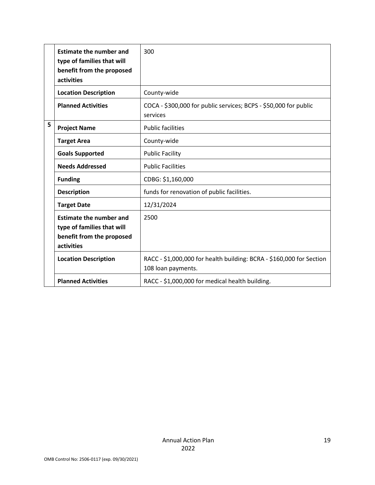|   | <b>Estimate the number and</b><br>type of families that will<br>benefit from the proposed<br>activities | 300                                                                                        |
|---|---------------------------------------------------------------------------------------------------------|--------------------------------------------------------------------------------------------|
|   | <b>Location Description</b>                                                                             | County-wide                                                                                |
|   | <b>Planned Activities</b>                                                                               | COCA - \$300,000 for public services; BCPS - \$50,000 for public<br>services               |
| 5 | <b>Project Name</b>                                                                                     | <b>Public facilities</b>                                                                   |
|   | <b>Target Area</b>                                                                                      | County-wide                                                                                |
|   | <b>Goals Supported</b>                                                                                  | <b>Public Facility</b>                                                                     |
|   | <b>Needs Addressed</b>                                                                                  | <b>Public Facilities</b>                                                                   |
|   | <b>Funding</b>                                                                                          | CDBG: \$1,160,000                                                                          |
|   | <b>Description</b>                                                                                      | funds for renovation of public facilities.                                                 |
|   | <b>Target Date</b>                                                                                      | 12/31/2024                                                                                 |
|   | <b>Estimate the number and</b><br>type of families that will<br>benefit from the proposed<br>activities | 2500                                                                                       |
|   | <b>Location Description</b>                                                                             | RACC - \$1,000,000 for health building: BCRA - \$160,000 for Section<br>108 loan payments. |
|   | <b>Planned Activities</b>                                                                               | RACC - \$1,000,000 for medical health building.                                            |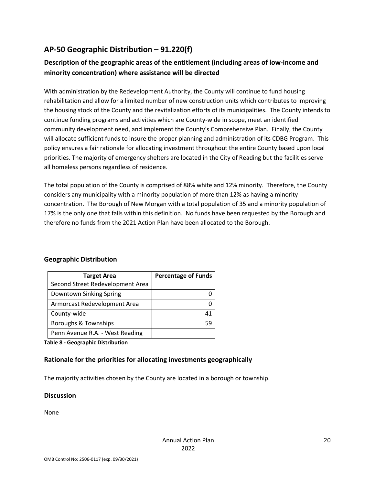## **AP-50 Geographic Distribution – 91.220(f)**

## **Description of the geographic areas of the entitlement (including areas of low-income and minority concentration) where assistance will be directed**

With administration by the Redevelopment Authority, the County will continue to fund housing rehabilitation and allow for a limited number of new construction units which contributes to improving the housing stock of the County and the revitalization efforts of its municipalities. The County intends to continue funding programs and activities which are County-wide in scope, meet an identified community development need, and implement the County's Comprehensive Plan. Finally, the County will allocate sufficient funds to insure the proper planning and administration of its CDBG Program. This policy ensures a fair rationale for allocating investment throughout the entire County based upon local priorities. The majority of emergency shelters are located in the City of Reading but the facilities serve all homeless persons regardless of residence.

The total population of the County is comprised of 88% white and 12% minority. Therefore, the County considers any municipality with a minority population of more than 12% as having a minority concentration. The Borough of New Morgan with a total population of 35 and a minority population of 17% is the only one that falls within this definition. No funds have been requested by the Borough and therefore no funds from the 2021 Action Plan have been allocated to the Borough.

### **Geographic Distribution**

| <b>Target Area</b>               | <b>Percentage of Funds</b> |
|----------------------------------|----------------------------|
| Second Street Redevelopment Area |                            |
| Downtown Sinking Spring          |                            |
| Armorcast Redevelopment Area     |                            |
| County-wide                      |                            |
| Boroughs & Townships             | 59                         |
| Penn Avenue R.A. - West Reading  |                            |

**Table 8 - Geographic Distribution** 

### **Rationale for the priorities for allocating investments geographically**

The majority activities chosen by the County are located in a borough or township.

#### **Discussion**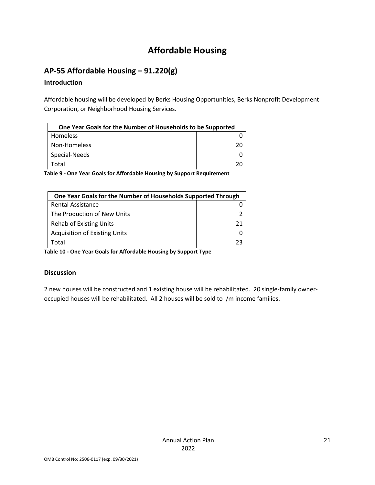# **Affordable Housing**

## **AP-55 Affordable Housing – 91.220(g)**

## **Introduction**

Affordable housing will be developed by Berks Housing Opportunities, Berks Nonprofit Development Corporation, or Neighborhood Housing Services.

| One Year Goals for the Number of Households to be Supported |    |
|-------------------------------------------------------------|----|
| <b>Homeless</b>                                             |    |
| Non-Homeless                                                | 20 |
| Special-Needs                                               |    |
| Total                                                       |    |

**Table 9 - One Year Goals for Affordable Housing by Support Requirement**

| One Year Goals for the Number of Households Supported Through |    |  |
|---------------------------------------------------------------|----|--|
| <b>Rental Assistance</b>                                      |    |  |
| The Production of New Units                                   |    |  |
| <b>Rehab of Existing Units</b>                                | 21 |  |
| <b>Acquisition of Existing Units</b>                          |    |  |
| Total                                                         | 23 |  |

**Table 10 - One Year Goals for Affordable Housing by Support Type**

## **Discussion**

2 new houses will be constructed and 1 existing house will be rehabilitated. 20 single-family owneroccupied houses will be rehabilitated. All 2 houses will be sold to l/m income families.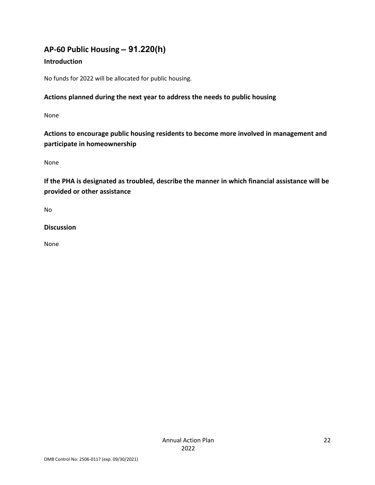## **AP-60 Public Housing** *–* **91.220(h)**

## **Introduction**

No funds for 2022 will be allocated for public housing.

## **Actions planned during the next year to address the needs to public housing**

None

**Actions to encourage public housing residents to become more involved in management and participate in homeownership**

None

**If the PHA is designated as troubled, describe the manner in which financial assistance will be provided or other assistance** 

No

**Discussion**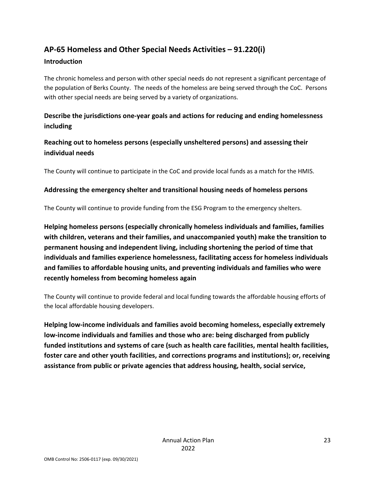# **AP-65 Homeless and Other Special Needs Activities – 91.220(i)**

#### **Introduction**

The chronic homeless and person with other special needs do not represent a significant percentage of the population of Berks County. The needs of the homeless are being served through the CoC. Persons with other special needs are being served by a variety of organizations.

## **Describe the jurisdictions one-year goals and actions for reducing and ending homelessness including**

**Reaching out to homeless persons (especially unsheltered persons) and assessing their individual needs**

The County will continue to participate in the CoC and provide local funds as a match for the HMIS.

## **Addressing the emergency shelter and transitional housing needs of homeless persons**

The County will continue to provide funding from the ESG Program to the emergency shelters.

**Helping homeless persons (especially chronically homeless individuals and families, families with children, veterans and their families, and unaccompanied youth) make the transition to permanent housing and independent living, including shortening the period of time that individuals and families experience homelessness, facilitating access for homeless individuals and families to affordable housing units, and preventing individuals and families who were recently homeless from becoming homeless again**

The County will continue to provide federal and local funding towards the affordable housing efforts of the local affordable housing developers.

**Helping low-income individuals and families avoid becoming homeless, especially extremely low-income individuals and families and those who are: being discharged from publicly funded institutions and systems of care (such as health care facilities, mental health facilities, foster care and other youth facilities, and corrections programs and institutions); or, receiving assistance from public or private agencies that address housing, health, social service,**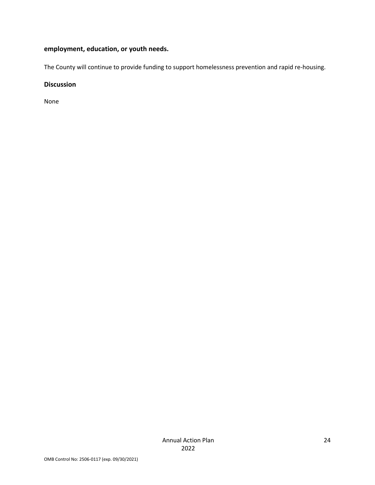## **employment, education, or youth needs.**

The County will continue to provide funding to support homelessness prevention and rapid re-housing.

#### **Discussion**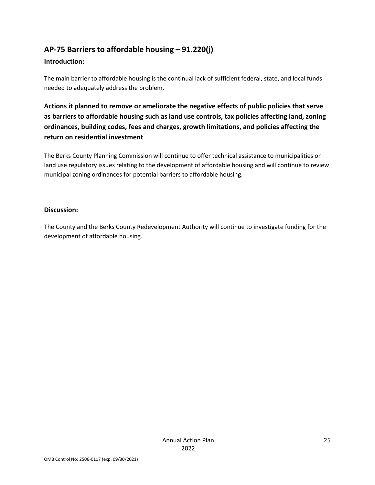## **AP-75 Barriers to affordable housing – 91.220(j)**

#### **Introduction:**

The main barrier to affordable housing is the continual lack of sufficient federal, state, and local funds needed to adequately address the problem.

**Actions it planned to remove or ameliorate the negative effects of public policies that serve as barriers to affordable housing such as land use controls, tax policies affecting land, zoning ordinances, building codes, fees and charges, growth limitations, and policies affecting the return on residential investment**

The Berks County Planning Commission will continue to offer technical assistance to municipalities on land use regulatory issues relating to the development of affordable housing and will continue to review municipal zoning ordinances for potential barriers to affordable housing.

#### **Discussion:**

The County and the Berks County Redevelopment Authority will continue to investigate funding for the development of affordable housing.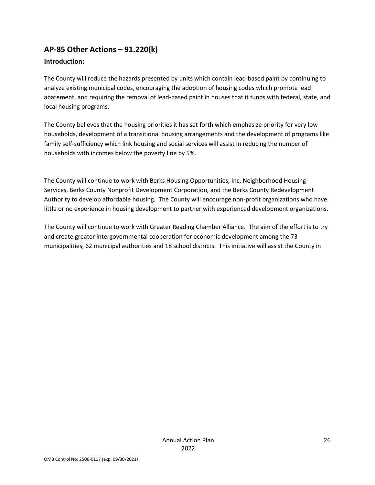## **AP-85 Other Actions – 91.220(k)**

### **Introduction:**

The County will reduce the hazards presented by units which contain lead-based paint by continuing to analyze existing municipal codes, encouraging the adoption of housing codes which promote lead abatement, and requiring the removal of lead-based paint in houses that it funds with federal, state, and local housing programs.

The County believes that the housing priorities it has set forth which emphasize priority for very low households, development of a transitional housing arrangements and the development of programs like family self-sufficiency which link housing and social services will assist in reducing the number of households with incomes below the poverty line by 5%.

The County will continue to work with Berks Housing Opportunities, Inc, Neighborhood Housing Services, Berks County Nonprofit Development Corporation, and the Berks County Redevelopment Authority to develop affordable housing. The County will encourage non-profit organizations who have little or no experience in housing development to partner with experienced development organizations.

The County will continue to work with Greater Reading Chamber Alliance. The aim of the effort is to try and create greater intergovernmental cooperation for economic development among the 73 municipalities, 62 municipal authorities and 18 school districts. This initiative will assist the County in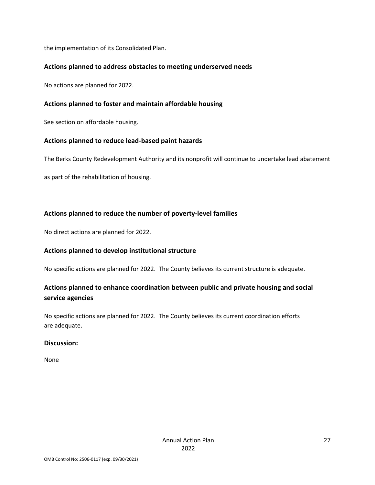the implementation of its Consolidated Plan.

#### **Actions planned to address obstacles to meeting underserved needs**

No actions are planned for 2022.

#### **Actions planned to foster and maintain affordable housing**

See section on affordable housing.

#### **Actions planned to reduce lead-based paint hazards**

The Berks County Redevelopment Authority and its nonprofit will continue to undertake lead abatement

as part of the rehabilitation of housing.

#### **Actions planned to reduce the number of poverty-level families**

No direct actions are planned for 2022.

#### **Actions planned to develop institutional structure**

No specific actions are planned for 2022. The County believes its current structure is adequate.

## **Actions planned to enhance coordination between public and private housing and social service agencies**

No specific actions are planned for 2022. The County believes its current coordination efforts are adequate.

#### **Discussion:**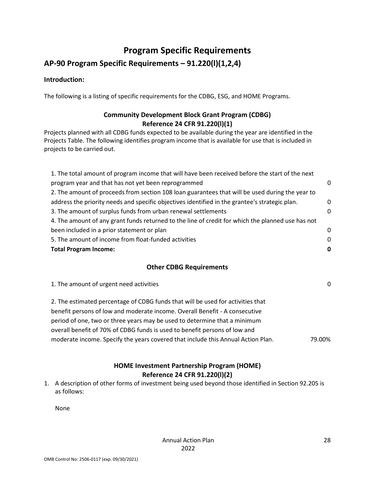## **Program Specific Requirements**

## **AP-90 Program Specific Requirements – 91.220(l)(1,2,4)**

#### **Introduction:**

The following is a listing of specific requirements for the CDBG, ESG, and HOME Programs.

## **Community Development Block Grant Program (CDBG) Reference 24 CFR 91.220(l)(1)**

Projects planned with all CDBG funds expected to be available during the year are identified in the Projects Table. The following identifies program income that is available for use that is included in projects to be carried out.

| 1. The total amount of program income that will have been received before the start of the next   |          |
|---------------------------------------------------------------------------------------------------|----------|
| program year and that has not yet been reprogrammed                                               | 0        |
| 2. The amount of proceeds from section 108 loan guarantees that will be used during the year to   |          |
| address the priority needs and specific objectives identified in the grantee's strategic plan.    | $\Omega$ |
| 3. The amount of surplus funds from urban renewal settlements                                     | $\Omega$ |
| 4. The amount of any grant funds returned to the line of credit for which the planned use has not |          |
| been included in a prior statement or plan                                                        | 0        |
| 5. The amount of income from float-funded activities                                              | 0        |
| <b>Total Program Income:</b>                                                                      |          |

#### **Other CDBG Requirements**

| 1. The amount of urgent need activities                                          | 0      |
|----------------------------------------------------------------------------------|--------|
| 2. The estimated percentage of CDBG funds that will be used for activities that  |        |
| benefit persons of low and moderate income. Overall Benefit - A consecutive      |        |
| period of one, two or three years may be used to determine that a minimum        |        |
| overall benefit of 70% of CDBG funds is used to benefit persons of low and       |        |
| moderate income. Specify the years covered that include this Annual Action Plan. | 79.00% |

## **HOME Investment Partnership Program (HOME) Reference 24 CFR 91.220(l)(2)**

1. A description of other forms of investment being used beyond those identified in Section 92.205 is as follows: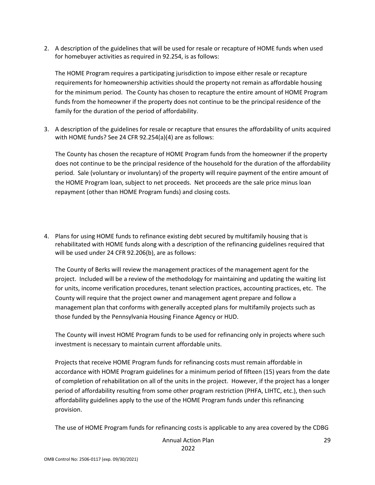2. A description of the guidelines that will be used for resale or recapture of HOME funds when used for homebuyer activities as required in 92.254, is as follows:

The HOME Program requires a participating jurisdiction to impose either resale or recapture requirements for homeownership activities should the property not remain as affordable housing for the minimum period. The County has chosen to recapture the entire amount of HOME Program funds from the homeowner if the property does not continue to be the principal residence of the family for the duration of the period of affordability.

3. A description of the guidelines for resale or recapture that ensures the affordability of units acquired with HOME funds? See 24 CFR 92.254(a)(4) are as follows:

The County has chosen the recapture of HOME Program funds from the homeowner if the property does not continue to be the principal residence of the household for the duration of the affordability period. Sale (voluntary or involuntary) of the property will require payment of the entire amount of the HOME Program loan, subject to net proceeds. Net proceeds are the sale price minus loan repayment (other than HOME Program funds) and closing costs.

4. Plans for using HOME funds to refinance existing debt secured by multifamily housing that is rehabilitated with HOME funds along with a description of the refinancing guidelines required that will be used under 24 CFR 92.206(b), are as follows:

The County of Berks will review the management practices of the management agent for the project. Included will be a review of the methodology for maintaining and updating the waiting list for units, income verification procedures, tenant selection practices, accounting practices, etc. The County will require that the project owner and management agent prepare and follow a management plan that conforms with generally accepted plans for multifamily projects such as those funded by the Pennsylvania Housing Finance Agency or HUD.

The County will invest HOME Program funds to be used for refinancing only in projects where such investment is necessary to maintain current affordable units.

Projects that receive HOME Program funds for refinancing costs must remain affordable in accordance with HOME Program guidelines for a minimum period of fifteen (15) years from the date of completion of rehabilitation on all of the units in the project. However, if the project has a longer period of affordability resulting from some other program restriction (PHFA, LIHTC, etc.), then such affordability guidelines apply to the use of the HOME Program funds under this refinancing provision.

The use of HOME Program funds for refinancing costs is applicable to any area covered by the CDBG